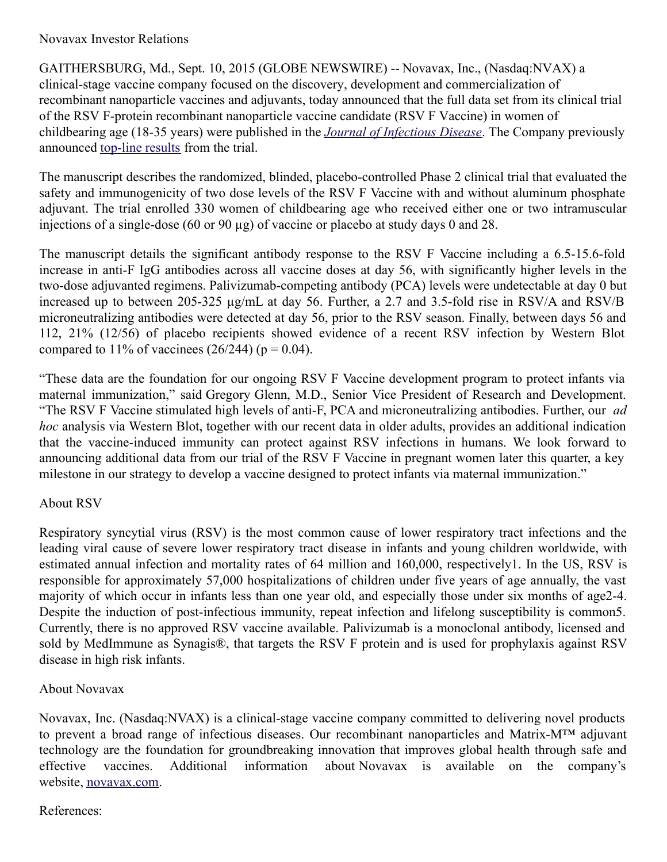## Novavax Investor Relations

GAITHERSBURG, Md., Sept. 10, 2015 (GLOBE NEWSWIRE) -- Novavax, Inc., (Nasdaq:NVAX) a clinical-stage vaccine company focused on the discovery, development and commercialization of recombinant nanoparticle vaccines and adjuvants, today announced that the full data set from its clinical trial of the RSV F-protein recombinant nanoparticle vaccine candidate (RSV F Vaccine) in women of childbearing age (18-35 years) were published in the *Journal of [Infectious](http://www.globenewswire.com/Tracker?data=3IX-ZvxtibkDMlphwnTSKD3V0yOLVzWY_Sp-FnVXHwBqAZU32om40JEPvj4a2Om1uhE3mZaOlR4w0RTTyirMVcCeeVOGFuNcfGQ608vMbRIkDmXmUmRp5oSLiNGOsZjYFilFqauDhoJ0c14mH5z8KKpEuKeAsrnfsDJQF1jPJ6U=) Disease*. The Company previously announced [top-line](http://www.globenewswire.com/Tracker?data=na0vf2ky3YMhnm-xnKHSQs5kByxokB8nRZkVJDLrZdVyz6mcta4YDObCbE_l_hBmzAN3TJSxaAVupQixd0_nx8yLYLImcmuG1ptpQyg9cdbgl77rAuFJ3vtRfmK83OZq9R0SmcNM18GPEYqpHSYOVutTEjIxH02s3kkGUVtPf_o=) results from the trial.

The manuscript describes the randomized, blinded, placebo-controlled Phase 2 clinical trial that evaluated the safety and immunogenicity of two dose levels of the RSV F Vaccine with and without aluminum phosphate adjuvant. The trial enrolled 330 women of childbearing age who received either one or two intramuscular injections of a single-dose (60 or 90 µg) of vaccine or placebo at study days 0 and 28.

The manuscript details the significant antibody response to the RSV F Vaccine including a 6.5-15.6-fold increase in anti-F IgG antibodies across all vaccine doses at day 56, with significantly higher levels in the two-dose adjuvanted regimens. Palivizumab-competing antibody (PCA) levels were undetectable at day 0 but increased up to between 205-325 µg/mL at day 56. Further, a 2.7 and 3.5-fold rise in RSV/A and RSV/B microneutralizing antibodies were detected at day 56, prior to the RSV season. Finally, between days 56 and 112, 21% (12/56) of placebo recipients showed evidence of a recent RSV infection by Western Blot compared to 11% of vaccinees  $(26/244)$  (p = 0.04).

"These data are the foundation for our ongoing RSV F Vaccine development program to protect infants via maternal immunization," said Gregory Glenn, M.D., Senior Vice President of Research and Development. "The RSV F Vaccine stimulated high levels of anti-F, PCA and microneutralizing antibodies. Further, our *ad hoc* analysis via Western Blot, together with our recent data in older adults, provides an additional indication that the vaccine-induced immunity can protect against RSV infections in humans. We look forward to announcing additional data from our trial of the RSV F Vaccine in pregnant women later this quarter, a key milestone in our strategy to develop a vaccine designed to protect infants via maternal immunization."

## About RSV

Respiratory syncytial virus (RSV) is the most common cause of lower respiratory tract infections and the leading viral cause of severe lower respiratory tract disease in infants and young children worldwide, with estimated annual infection and mortality rates of 64 million and 160,000, respectively1. In the US, RSV is responsible for approximately 57,000 hospitalizations of children under five years of age annually, the vast majority of which occur in infants less than one year old, and especially those under six months of age2-4. Despite the induction of post-infectious immunity, repeat infection and lifelong susceptibility is common5. Currently, there is no approved RSV vaccine available. Palivizumab is a monoclonal antibody, licensed and sold by MedImmune as Synagis®, that targets the RSV F protein and is used for prophylaxis against RSV disease in high risk infants.

## About Novavax

Novavax, Inc. (Nasdaq:NVAX) is a clinical-stage vaccine company committed to delivering novel products to prevent a broad range of infectious diseases. Our recombinant nanoparticles and Matrix-M™ adjuvant technology are the foundation for groundbreaking innovation that improves global health through safe and effective vaccines. Additional information about Novavax is available on the company's website, [novavax.com](http://www.globenewswire.com/Tracker?data=CUTYdd9MMWyDCNgOyO7BYvxqXyksgVOc1iVLxyJAoCjrmDBVqO0kusJohsqIG3nrcj9_Z9xp9ohOeX0-Zc6iNg==).

## References: